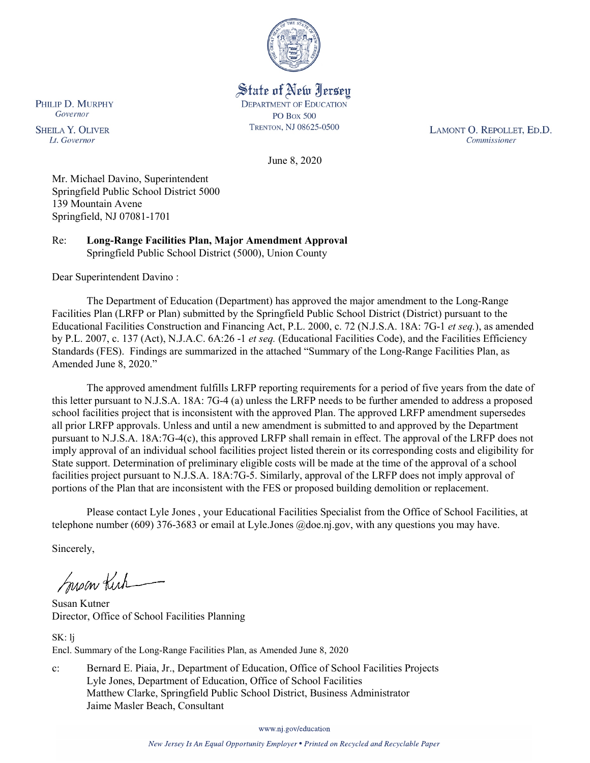

State of New Jersey **DEPARTMENT OF EDUCATION PO Box 500** TRENTON, NJ 08625-0500

LAMONT O. REPOLLET, ED.D. Commissioner

June 8, 2020

Mr. Michael Davino, Superintendent Springfield Public School District 5000 139 Mountain Avene Springfield, NJ 07081-1701

Re: **Long-Range Facilities Plan, Major Amendment Approval** Springfield Public School District (5000), Union County

Dear Superintendent Davino :

The Department of Education (Department) has approved the major amendment to the Long-Range Facilities Plan (LRFP or Plan) submitted by the Springfield Public School District (District) pursuant to the Educational Facilities Construction and Financing Act, P.L. 2000, c. 72 (N.J.S.A. 18A: 7G-1 *et seq.*), as amended by P.L. 2007, c. 137 (Act), N.J.A.C. 6A:26 -1 *et seq.* (Educational Facilities Code), and the Facilities Efficiency Standards (FES). Findings are summarized in the attached "Summary of the Long-Range Facilities Plan, as Amended June 8, 2020."

The approved amendment fulfills LRFP reporting requirements for a period of five years from the date of this letter pursuant to N.J.S.A. 18A: 7G-4 (a) unless the LRFP needs to be further amended to address a proposed school facilities project that is inconsistent with the approved Plan. The approved LRFP amendment supersedes all prior LRFP approvals. Unless and until a new amendment is submitted to and approved by the Department pursuant to N.J.S.A. 18A:7G-4(c), this approved LRFP shall remain in effect. The approval of the LRFP does not imply approval of an individual school facilities project listed therein or its corresponding costs and eligibility for State support. Determination of preliminary eligible costs will be made at the time of the approval of a school facilities project pursuant to N.J.S.A. 18A:7G-5. Similarly, approval of the LRFP does not imply approval of portions of the Plan that are inconsistent with the FES or proposed building demolition or replacement.

Please contact Lyle Jones , your Educational Facilities Specialist from the Office of School Facilities, at telephone number (609) 376-3683 or email at Lyle.Jones @doe.nj.gov, with any questions you may have.

Sincerely,

Susan Kich

Susan Kutner Director, Office of School Facilities Planning

SK: lj Encl. Summary of the Long-Range Facilities Plan, as Amended June 8, 2020

c: Bernard E. Piaia, Jr., Department of Education, Office of School Facilities Projects Lyle Jones, Department of Education, Office of School Facilities Matthew Clarke, Springfield Public School District, Business Administrator Jaime Masler Beach, Consultant

www.nj.gov/education

PHILIP D. MURPHY Governor

**SHEILA Y. OLIVER** Lt. Governor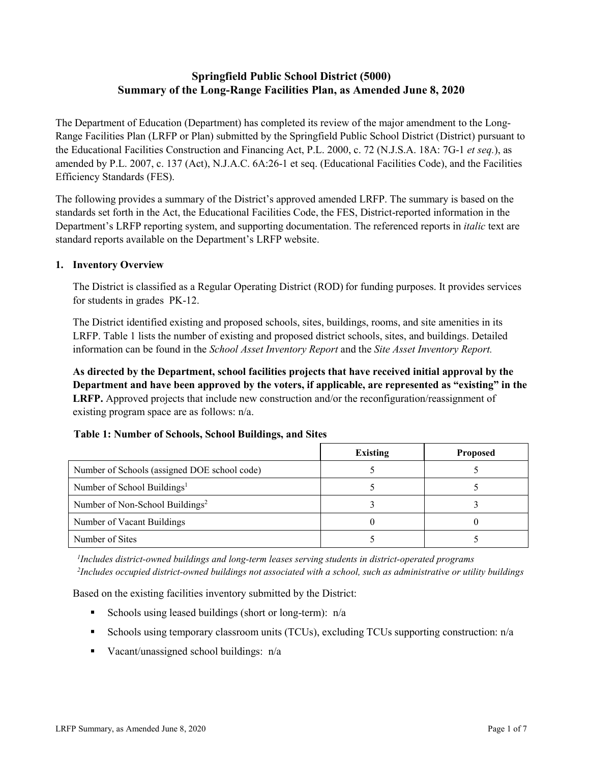# **Springfield Public School District (5000) Summary of the Long-Range Facilities Plan, as Amended June 8, 2020**

The Department of Education (Department) has completed its review of the major amendment to the Long-Range Facilities Plan (LRFP or Plan) submitted by the Springfield Public School District (District) pursuant to the Educational Facilities Construction and Financing Act, P.L. 2000, c. 72 (N.J.S.A. 18A: 7G-1 *et seq.*), as amended by P.L. 2007, c. 137 (Act), N.J.A.C. 6A:26-1 et seq. (Educational Facilities Code), and the Facilities Efficiency Standards (FES).

The following provides a summary of the District's approved amended LRFP. The summary is based on the standards set forth in the Act, the Educational Facilities Code, the FES, District-reported information in the Department's LRFP reporting system, and supporting documentation. The referenced reports in *italic* text are standard reports available on the Department's LRFP website.

### **1. Inventory Overview**

The District is classified as a Regular Operating District (ROD) for funding purposes. It provides services for students in grades PK-12.

The District identified existing and proposed schools, sites, buildings, rooms, and site amenities in its LRFP. Table 1 lists the number of existing and proposed district schools, sites, and buildings. Detailed information can be found in the *School Asset Inventory Report* and the *Site Asset Inventory Report.*

**As directed by the Department, school facilities projects that have received initial approval by the Department and have been approved by the voters, if applicable, are represented as "existing" in the LRFP.** Approved projects that include new construction and/or the reconfiguration/reassignment of existing program space are as follows: n/a.

|  |  | Table 1: Number of Schools, School Buildings, and Sites |  |
|--|--|---------------------------------------------------------|--|
|--|--|---------------------------------------------------------|--|

|                                              | <b>Existing</b> | <b>Proposed</b> |
|----------------------------------------------|-----------------|-----------------|
| Number of Schools (assigned DOE school code) |                 |                 |
| Number of School Buildings <sup>1</sup>      |                 |                 |
| Number of Non-School Buildings <sup>2</sup>  |                 |                 |
| Number of Vacant Buildings                   |                 |                 |
| Number of Sites                              |                 |                 |

*1 Includes district-owned buildings and long-term leases serving students in district-operated programs 2 Includes occupied district-owned buildings not associated with a school, such as administrative or utility buildings*

Based on the existing facilities inventory submitted by the District:

- Schools using leased buildings (short or long-term):  $n/a$
- Schools using temporary classroom units (TCUs), excluding TCUs supporting construction: n/a
- Vacant/unassigned school buildings:  $n/a$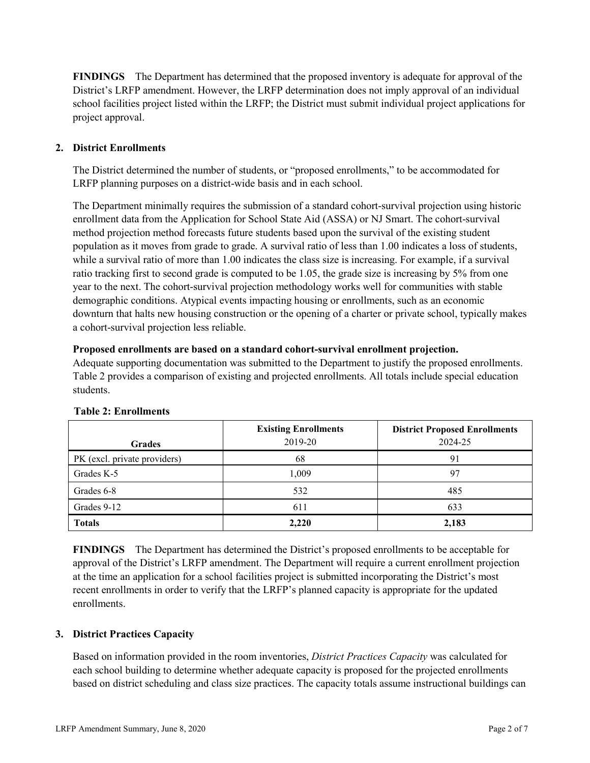**FINDINGS** The Department has determined that the proposed inventory is adequate for approval of the District's LRFP amendment. However, the LRFP determination does not imply approval of an individual school facilities project listed within the LRFP; the District must submit individual project applications for project approval.

# **2. District Enrollments**

The District determined the number of students, or "proposed enrollments," to be accommodated for LRFP planning purposes on a district-wide basis and in each school.

The Department minimally requires the submission of a standard cohort-survival projection using historic enrollment data from the Application for School State Aid (ASSA) or NJ Smart. The cohort-survival method projection method forecasts future students based upon the survival of the existing student population as it moves from grade to grade. A survival ratio of less than 1.00 indicates a loss of students, while a survival ratio of more than 1.00 indicates the class size is increasing. For example, if a survival ratio tracking first to second grade is computed to be 1.05, the grade size is increasing by 5% from one year to the next. The cohort-survival projection methodology works well for communities with stable demographic conditions. Atypical events impacting housing or enrollments, such as an economic downturn that halts new housing construction or the opening of a charter or private school, typically makes a cohort-survival projection less reliable.

#### **Proposed enrollments are based on a standard cohort-survival enrollment projection.**

Adequate supporting documentation was submitted to the Department to justify the proposed enrollments. Table 2 provides a comparison of existing and projected enrollments. All totals include special education students.

|                              | <b>Existing Enrollments</b> | <b>District Proposed Enrollments</b> |
|------------------------------|-----------------------------|--------------------------------------|
| <b>Grades</b>                | 2019-20                     | 2024-25                              |
| PK (excl. private providers) | 68                          | 91                                   |
| Grades K-5                   | 1,009                       | 97                                   |
| Grades 6-8                   | 532                         | 485                                  |
| Grades 9-12                  | 611                         | 633                                  |
| <b>Totals</b>                | 2,220                       | 2,183                                |

#### **Table 2: Enrollments**

**FINDINGS** The Department has determined the District's proposed enrollments to be acceptable for approval of the District's LRFP amendment. The Department will require a current enrollment projection at the time an application for a school facilities project is submitted incorporating the District's most recent enrollments in order to verify that the LRFP's planned capacity is appropriate for the updated enrollments.

#### **3. District Practices Capacity**

Based on information provided in the room inventories, *District Practices Capacity* was calculated for each school building to determine whether adequate capacity is proposed for the projected enrollments based on district scheduling and class size practices. The capacity totals assume instructional buildings can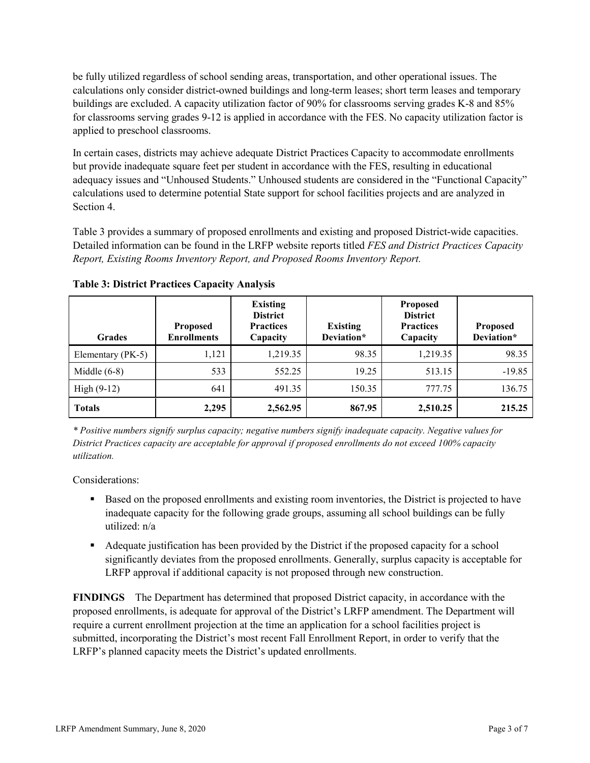be fully utilized regardless of school sending areas, transportation, and other operational issues. The calculations only consider district-owned buildings and long-term leases; short term leases and temporary buildings are excluded. A capacity utilization factor of 90% for classrooms serving grades K-8 and 85% for classrooms serving grades 9-12 is applied in accordance with the FES. No capacity utilization factor is applied to preschool classrooms.

In certain cases, districts may achieve adequate District Practices Capacity to accommodate enrollments but provide inadequate square feet per student in accordance with the FES, resulting in educational adequacy issues and "Unhoused Students." Unhoused students are considered in the "Functional Capacity" calculations used to determine potential State support for school facilities projects and are analyzed in Section 4.

Table 3 provides a summary of proposed enrollments and existing and proposed District-wide capacities. Detailed information can be found in the LRFP website reports titled *FES and District Practices Capacity Report, Existing Rooms Inventory Report, and Proposed Rooms Inventory Report.*

| <b>Grades</b>     | <b>Proposed</b><br><b>Enrollments</b> | <b>Existing</b><br><b>District</b><br><b>Practices</b><br>Capacity | <b>Existing</b><br>Deviation* | <b>Proposed</b><br><b>District</b><br><b>Practices</b><br>Capacity | Proposed<br>Deviation* |
|-------------------|---------------------------------------|--------------------------------------------------------------------|-------------------------------|--------------------------------------------------------------------|------------------------|
| Elementary (PK-5) | 1,121                                 | 1,219.35                                                           | 98.35                         | 1,219.35                                                           | 98.35                  |
| Middle $(6-8)$    | 533                                   | 552.25                                                             | 19.25                         | 513.15                                                             | $-19.85$               |
| High $(9-12)$     | 641                                   | 491.35                                                             | 150.35                        | 777.75                                                             | 136.75                 |
| <b>Totals</b>     | 2,295                                 | 2,562.95                                                           | 867.95                        | 2,510.25                                                           | 215.25                 |

**Table 3: District Practices Capacity Analysis**

*\* Positive numbers signify surplus capacity; negative numbers signify inadequate capacity. Negative values for District Practices capacity are acceptable for approval if proposed enrollments do not exceed 100% capacity utilization.*

Considerations:

- **Based on the proposed enrollments and existing room inventories, the District is projected to have** inadequate capacity for the following grade groups, assuming all school buildings can be fully utilized: n/a
- Adequate justification has been provided by the District if the proposed capacity for a school significantly deviates from the proposed enrollments. Generally, surplus capacity is acceptable for LRFP approval if additional capacity is not proposed through new construction.

**FINDINGS**The Department has determined that proposed District capacity, in accordance with the proposed enrollments, is adequate for approval of the District's LRFP amendment. The Department will require a current enrollment projection at the time an application for a school facilities project is submitted, incorporating the District's most recent Fall Enrollment Report, in order to verify that the LRFP's planned capacity meets the District's updated enrollments.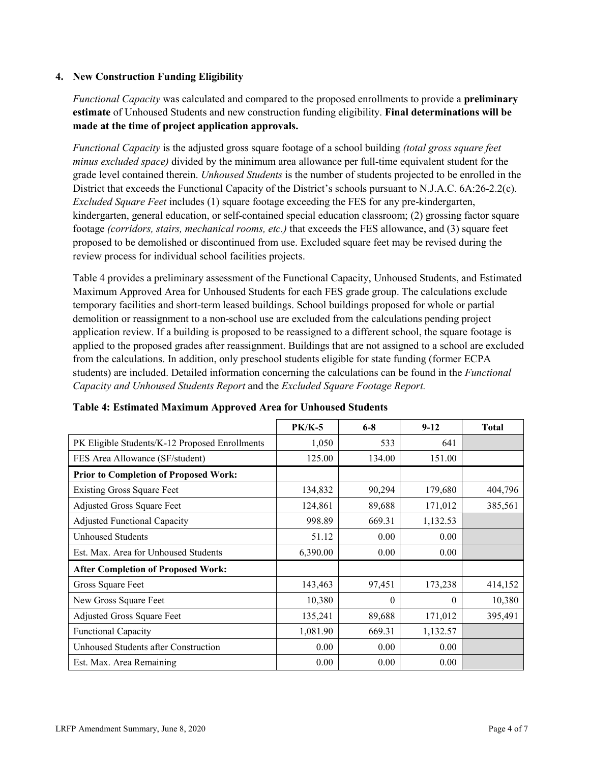### **4. New Construction Funding Eligibility**

*Functional Capacity* was calculated and compared to the proposed enrollments to provide a **preliminary estimate** of Unhoused Students and new construction funding eligibility. **Final determinations will be made at the time of project application approvals.**

*Functional Capacity* is the adjusted gross square footage of a school building *(total gross square feet minus excluded space)* divided by the minimum area allowance per full-time equivalent student for the grade level contained therein. *Unhoused Students* is the number of students projected to be enrolled in the District that exceeds the Functional Capacity of the District's schools pursuant to N.J.A.C. 6A:26-2.2(c). *Excluded Square Feet* includes (1) square footage exceeding the FES for any pre-kindergarten, kindergarten, general education, or self-contained special education classroom; (2) grossing factor square footage *(corridors, stairs, mechanical rooms, etc.)* that exceeds the FES allowance, and (3) square feet proposed to be demolished or discontinued from use. Excluded square feet may be revised during the review process for individual school facilities projects.

Table 4 provides a preliminary assessment of the Functional Capacity, Unhoused Students, and Estimated Maximum Approved Area for Unhoused Students for each FES grade group. The calculations exclude temporary facilities and short-term leased buildings. School buildings proposed for whole or partial demolition or reassignment to a non-school use are excluded from the calculations pending project application review. If a building is proposed to be reassigned to a different school, the square footage is applied to the proposed grades after reassignment. Buildings that are not assigned to a school are excluded from the calculations. In addition, only preschool students eligible for state funding (former ECPA students) are included. Detailed information concerning the calculations can be found in the *Functional Capacity and Unhoused Students Report* and the *Excluded Square Footage Report.*

|                                                | $PK/K-5$ | $6 - 8$  | $9 - 12$ | <b>Total</b> |
|------------------------------------------------|----------|----------|----------|--------------|
| PK Eligible Students/K-12 Proposed Enrollments | 1,050    | 533      | 641      |              |
| FES Area Allowance (SF/student)                | 125.00   | 134.00   | 151.00   |              |
| <b>Prior to Completion of Proposed Work:</b>   |          |          |          |              |
| <b>Existing Gross Square Feet</b>              | 134,832  | 90,294   | 179,680  | 404,796      |
| Adjusted Gross Square Feet                     | 124,861  | 89,688   | 171,012  | 385,561      |
| <b>Adjusted Functional Capacity</b>            | 998.89   | 669.31   | 1,132.53 |              |
| <b>Unhoused Students</b>                       | 51.12    | 0.00     | 0.00     |              |
| Est. Max. Area for Unhoused Students           | 6,390.00 | 0.00     | 0.00     |              |
| <b>After Completion of Proposed Work:</b>      |          |          |          |              |
| Gross Square Feet                              | 143,463  | 97,451   | 173,238  | 414,152      |
| New Gross Square Feet                          | 10,380   | $\theta$ | $\theta$ | 10,380       |
| Adjusted Gross Square Feet                     | 135,241  | 89,688   | 171,012  | 395,491      |
| Functional Capacity                            | 1,081.90 | 669.31   | 1,132.57 |              |
| Unhoused Students after Construction           | 0.00     | 0.00     | 0.00     |              |
| Est. Max. Area Remaining                       | 0.00     | 0.00     | 0.00     |              |

| Table 4: Estimated Maximum Approved Area for Unhoused Students |  |  |  |
|----------------------------------------------------------------|--|--|--|
|----------------------------------------------------------------|--|--|--|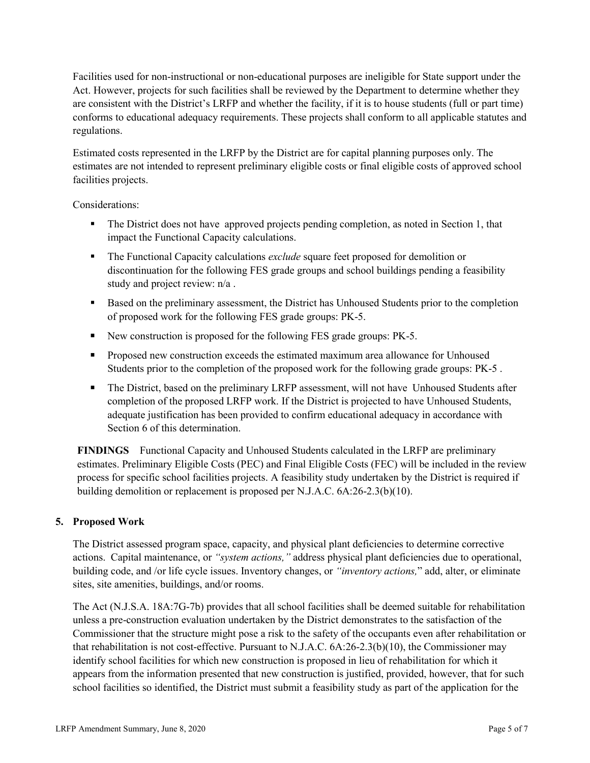Facilities used for non-instructional or non-educational purposes are ineligible for State support under the Act. However, projects for such facilities shall be reviewed by the Department to determine whether they are consistent with the District's LRFP and whether the facility, if it is to house students (full or part time) conforms to educational adequacy requirements. These projects shall conform to all applicable statutes and regulations.

Estimated costs represented in the LRFP by the District are for capital planning purposes only. The estimates are not intended to represent preliminary eligible costs or final eligible costs of approved school facilities projects.

Considerations:

- The District does not have approved projects pending completion, as noted in Section 1, that impact the Functional Capacity calculations.
- The Functional Capacity calculations *exclude* square feet proposed for demolition or discontinuation for the following FES grade groups and school buildings pending a feasibility study and project review: n/a .
- Based on the preliminary assessment, the District has Unhoused Students prior to the completion of proposed work for the following FES grade groups: PK-5.
- New construction is proposed for the following FES grade groups: PK-5.
- **Proposed new construction exceeds the estimated maximum area allowance for Unhoused** Students prior to the completion of the proposed work for the following grade groups: PK-5 .
- The District, based on the preliminary LRFP assessment, will not have Unhoused Students after completion of the proposed LRFP work. If the District is projected to have Unhoused Students, adequate justification has been provided to confirm educational adequacy in accordance with Section 6 of this determination.

**FINDINGS** Functional Capacity and Unhoused Students calculated in the LRFP are preliminary estimates. Preliminary Eligible Costs (PEC) and Final Eligible Costs (FEC) will be included in the review process for specific school facilities projects. A feasibility study undertaken by the District is required if building demolition or replacement is proposed per N.J.A.C. 6A:26-2.3(b)(10).

# **5. Proposed Work**

The District assessed program space, capacity, and physical plant deficiencies to determine corrective actions. Capital maintenance, or *"system actions,"* address physical plant deficiencies due to operational, building code, and /or life cycle issues. Inventory changes, or *"inventory actions,*" add, alter, or eliminate sites, site amenities, buildings, and/or rooms.

The Act (N.J.S.A. 18A:7G-7b) provides that all school facilities shall be deemed suitable for rehabilitation unless a pre-construction evaluation undertaken by the District demonstrates to the satisfaction of the Commissioner that the structure might pose a risk to the safety of the occupants even after rehabilitation or that rehabilitation is not cost-effective. Pursuant to N.J.A.C. 6A:26-2.3(b)(10), the Commissioner may identify school facilities for which new construction is proposed in lieu of rehabilitation for which it appears from the information presented that new construction is justified, provided, however, that for such school facilities so identified, the District must submit a feasibility study as part of the application for the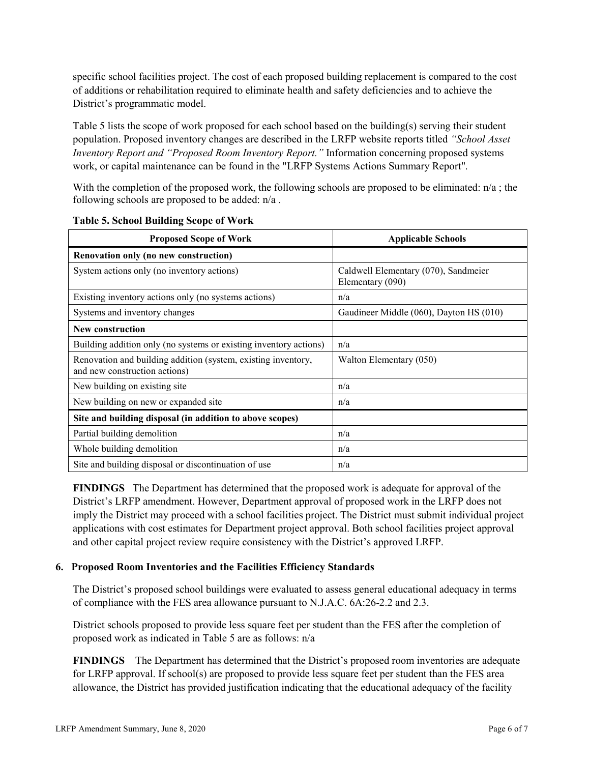specific school facilities project. The cost of each proposed building replacement is compared to the cost of additions or rehabilitation required to eliminate health and safety deficiencies and to achieve the District's programmatic model.

Table 5 lists the scope of work proposed for each school based on the building(s) serving their student population. Proposed inventory changes are described in the LRFP website reports titled *"School Asset Inventory Report and "Proposed Room Inventory Report."* Information concerning proposed systems work, or capital maintenance can be found in the "LRFP Systems Actions Summary Report".

With the completion of the proposed work, the following schools are proposed to be eliminated:  $n/a$ ; the following schools are proposed to be added: n/a .

| <b>Proposed Scope of Work</b>                                                                  | <b>Applicable Schools</b>                                |
|------------------------------------------------------------------------------------------------|----------------------------------------------------------|
| Renovation only (no new construction)                                                          |                                                          |
| System actions only (no inventory actions)                                                     | Caldwell Elementary (070), Sandmeier<br>Elementary (090) |
| Existing inventory actions only (no systems actions)                                           | n/a                                                      |
| Systems and inventory changes                                                                  | Gaudineer Middle (060), Dayton HS (010)                  |
| New construction                                                                               |                                                          |
| Building addition only (no systems or existing inventory actions)                              | n/a                                                      |
| Renovation and building addition (system, existing inventory,<br>and new construction actions) | Walton Elementary (050)                                  |
| New building on existing site                                                                  | n/a                                                      |
| New building on new or expanded site                                                           | n/a                                                      |
| Site and building disposal (in addition to above scopes)                                       |                                                          |
| Partial building demolition                                                                    | n/a                                                      |
| Whole building demolition                                                                      | n/a                                                      |
| Site and building disposal or discontinuation of use                                           | n/a                                                      |

**FINDINGS** The Department has determined that the proposed work is adequate for approval of the District's LRFP amendment. However, Department approval of proposed work in the LRFP does not imply the District may proceed with a school facilities project. The District must submit individual project applications with cost estimates for Department project approval. Both school facilities project approval and other capital project review require consistency with the District's approved LRFP.

#### **6. Proposed Room Inventories and the Facilities Efficiency Standards**

The District's proposed school buildings were evaluated to assess general educational adequacy in terms of compliance with the FES area allowance pursuant to N.J.A.C. 6A:26-2.2 and 2.3.

District schools proposed to provide less square feet per student than the FES after the completion of proposed work as indicated in Table 5 are as follows: n/a

**FINDINGS** The Department has determined that the District's proposed room inventories are adequate for LRFP approval. If school(s) are proposed to provide less square feet per student than the FES area allowance, the District has provided justification indicating that the educational adequacy of the facility